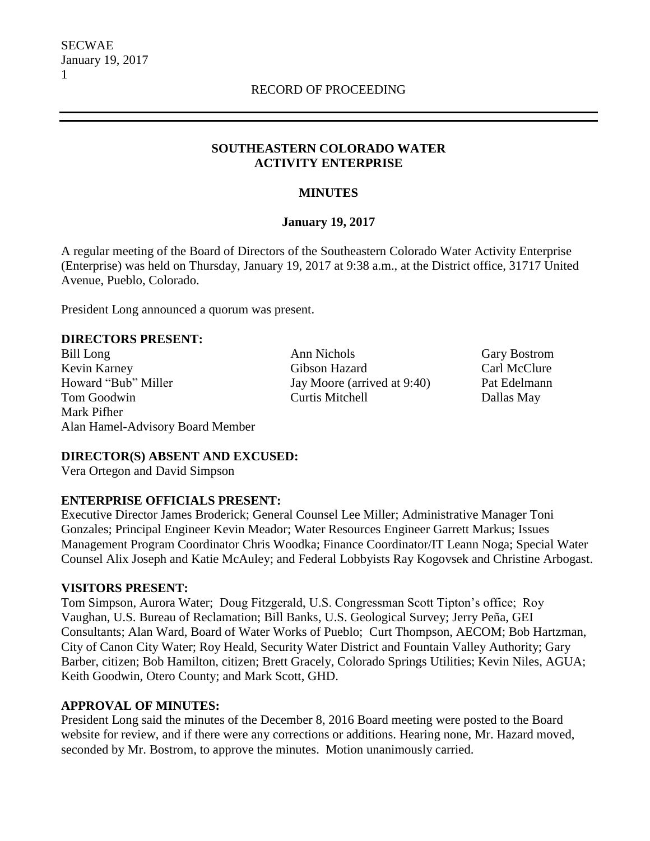## **SOUTHEASTERN COLORADO WATER ACTIVITY ENTERPRISE**

## **MINUTES**

## **January 19, 2017**

A regular meeting of the Board of Directors of the Southeastern Colorado Water Activity Enterprise (Enterprise) was held on Thursday, January 19, 2017 at 9:38 a.m., at the District office, 31717 United Avenue, Pueblo, Colorado.

President Long announced a quorum was present.

### **DIRECTORS PRESENT:**

Bill Long **Ann Nichols** Gary Bostrom Kevin Karney Gibson Hazard Carl McClure Howard "Bub" Miller Jay Moore (arrived at 9:40) Pat Edelmann Tom Goodwin Curtis Mitchell Dallas May Mark Pifher Alan Hamel-Advisory Board Member

## **DIRECTOR(S) ABSENT AND EXCUSED:**

Vera Ortegon and David Simpson

### **ENTERPRISE OFFICIALS PRESENT:**

Executive Director James Broderick; General Counsel Lee Miller; Administrative Manager Toni Gonzales; Principal Engineer Kevin Meador; Water Resources Engineer Garrett Markus; Issues Management Program Coordinator Chris Woodka; Finance Coordinator/IT Leann Noga; Special Water Counsel Alix Joseph and Katie McAuley; and Federal Lobbyists Ray Kogovsek and Christine Arbogast.

### **VISITORS PRESENT:**

Tom Simpson, Aurora Water; Doug Fitzgerald, U.S. Congressman Scott Tipton's office; Roy Vaughan, U.S. Bureau of Reclamation; Bill Banks, U.S. Geological Survey; Jerry Peña, GEI Consultants; Alan Ward, Board of Water Works of Pueblo; Curt Thompson, AECOM; Bob Hartzman, City of Canon City Water; Roy Heald, Security Water District and Fountain Valley Authority; Gary Barber, citizen; Bob Hamilton, citizen; Brett Gracely, Colorado Springs Utilities; Kevin Niles, AGUA; Keith Goodwin, Otero County; and Mark Scott, GHD.

### **APPROVAL OF MINUTES:**

President Long said the minutes of the December 8, 2016 Board meeting were posted to the Board website for review, and if there were any corrections or additions. Hearing none, Mr. Hazard moved, seconded by Mr. Bostrom, to approve the minutes. Motion unanimously carried.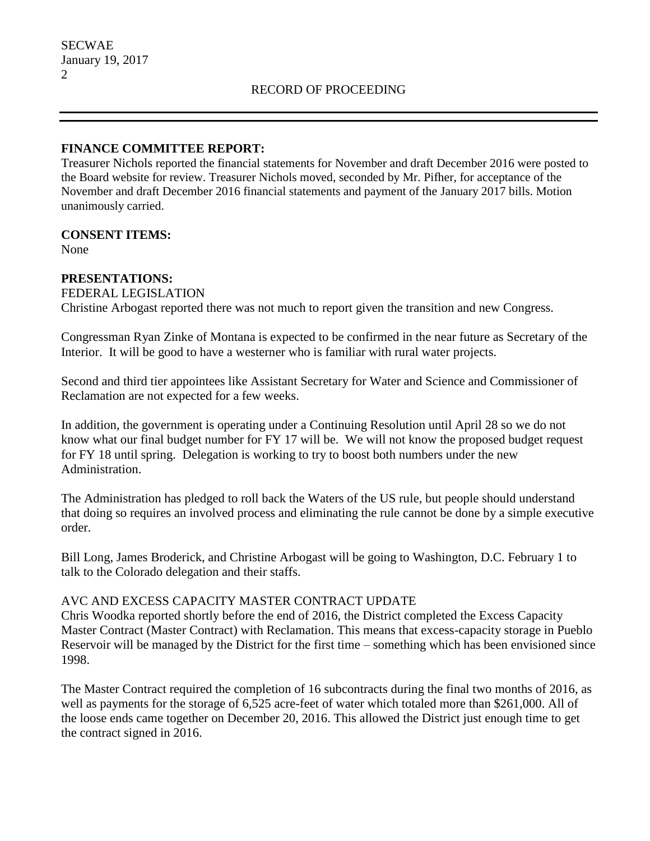## **FINANCE COMMITTEE REPORT:**

Treasurer Nichols reported the financial statements for November and draft December 2016 were posted to the Board website for review. Treasurer Nichols moved, seconded by Mr. Pifher, for acceptance of the November and draft December 2016 financial statements and payment of the January 2017 bills. Motion unanimously carried.

### **CONSENT ITEMS:**

None

## **PRESENTATIONS:**

FEDERAL LEGISLATION Christine Arbogast reported there was not much to report given the transition and new Congress.

Congressman Ryan Zinke of Montana is expected to be confirmed in the near future as Secretary of the Interior. It will be good to have a westerner who is familiar with rural water projects.

Second and third tier appointees like Assistant Secretary for Water and Science and Commissioner of Reclamation are not expected for a few weeks.

In addition, the government is operating under a Continuing Resolution until April 28 so we do not know what our final budget number for FY 17 will be. We will not know the proposed budget request for FY 18 until spring. Delegation is working to try to boost both numbers under the new Administration.

The Administration has pledged to roll back the Waters of the US rule, but people should understand that doing so requires an involved process and eliminating the rule cannot be done by a simple executive order.

Bill Long, James Broderick, and Christine Arbogast will be going to Washington, D.C. February 1 to talk to the Colorado delegation and their staffs.

### AVC AND EXCESS CAPACITY MASTER CONTRACT UPDATE

Chris Woodka reported shortly before the end of 2016, the District completed the Excess Capacity Master Contract (Master Contract) with Reclamation. This means that excess-capacity storage in Pueblo Reservoir will be managed by the District for the first time – something which has been envisioned since 1998.

The Master Contract required the completion of 16 subcontracts during the final two months of 2016, as well as payments for the storage of 6,525 acre-feet of water which totaled more than \$261,000. All of the loose ends came together on December 20, 2016. This allowed the District just enough time to get the contract signed in 2016.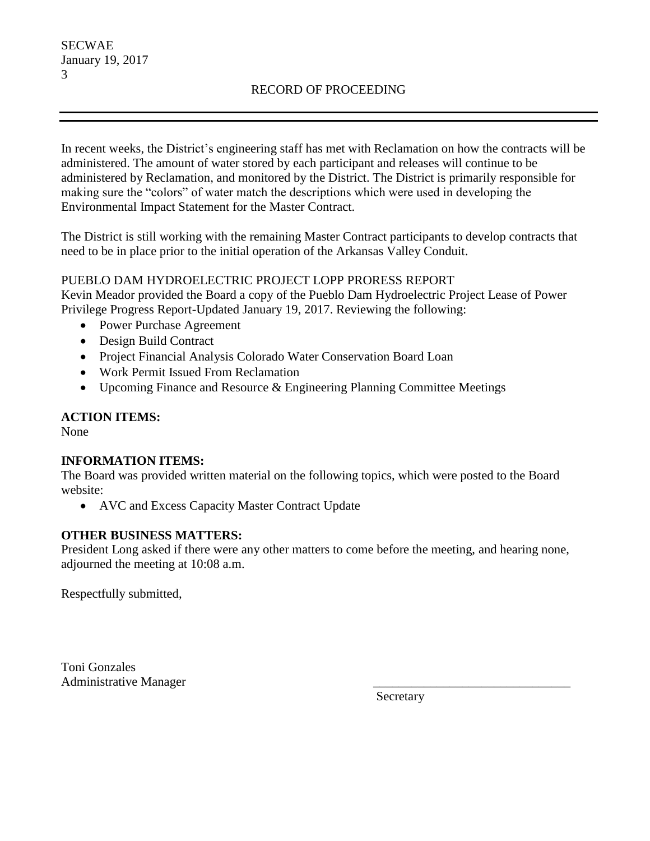# RECORD OF PROCEEDING

In recent weeks, the District's engineering staff has met with Reclamation on how the contracts will be administered. The amount of water stored by each participant and releases will continue to be administered by Reclamation, and monitored by the District. The District is primarily responsible for making sure the "colors" of water match the descriptions which were used in developing the Environmental Impact Statement for the Master Contract.

The District is still working with the remaining Master Contract participants to develop contracts that need to be in place prior to the initial operation of the Arkansas Valley Conduit.

### PUEBLO DAM HYDROELECTRIC PROJECT LOPP PRORESS REPORT

Kevin Meador provided the Board a copy of the Pueblo Dam Hydroelectric Project Lease of Power Privilege Progress Report-Updated January 19, 2017. Reviewing the following:

- Power Purchase Agreement
- Design Build Contract
- Project Financial Analysis Colorado Water Conservation Board Loan
- Work Permit Issued From Reclamation
- Upcoming Finance and Resource & Engineering Planning Committee Meetings

## **ACTION ITEMS:**

None

### **INFORMATION ITEMS:**

The Board was provided written material on the following topics, which were posted to the Board website:

• AVC and Excess Capacity Master Contract Update

## **OTHER BUSINESS MATTERS:**

President Long asked if there were any other matters to come before the meeting, and hearing none, adjourned the meeting at 10:08 a.m.

Respectfully submitted,

Toni Gonzales Administrative Manager

Secretary